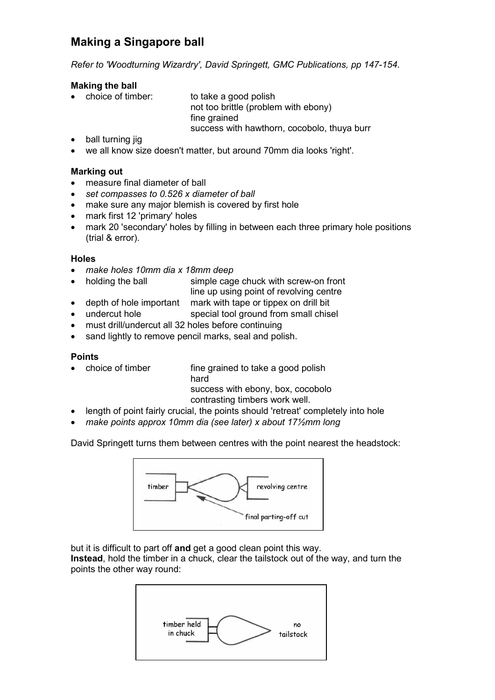# Making a Singapore ball

Refer to 'Woodturning Wizardry', David Springett, GMC Publications, pp 147-154.

### Making the ball

• choice of timber: to take a good polish not too brittle (problem with ebony) fine grained success with hawthorn, cocobolo, thuya burr

- ball turning jig
- we all know size doesn't matter, but around 70mm dia looks 'right'.

## Marking out

- measure final diameter of ball
- set compasses to 0.526 x diameter of ball
- make sure any major blemish is covered by first hole
- mark first 12 'primary' holes
- mark 20 'secondary' holes by filling in between each three primary hole positions (trial & error).

## **Holes**

- make holes 10mm dia x 18mm deep
- holding the ball simple cage chuck with screw-on front line up using point of revolving centre
	- depth of hole important mark with tape or tippex on drill bit
- undercut hole special tool ground from small chisel
- must drill/undercut all 32 holes before continuing
- sand lightly to remove pencil marks, seal and polish.

### Points

- choice of timber fine grained to take a good polish hard success with ebony, box, cocobolo contrasting timbers work well.
- length of point fairly crucial, the points should 'retreat' completely into hole
- make points approx 10mm dia (see later) x about 17 $\frac{1}{2}$ mm long

David Springett turns them between centres with the point nearest the headstock:



but it is difficult to part off and get a good clean point this way.

Instead, hold the timber in a chuck, clear the tailstock out of the way, and turn the points the other way round: